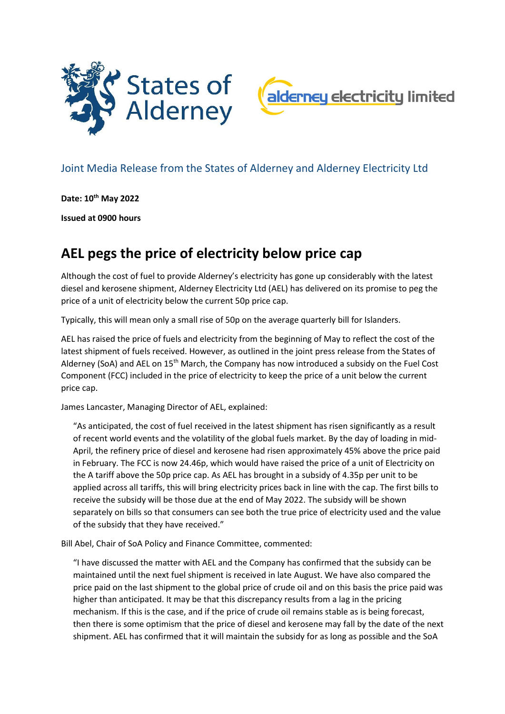



## Joint Media Release from the States of Alderney and Alderney Electricity Ltd

**Date: 10th May 2022**

**Issued at 0900 hours**

## **AEL pegs the price of electricity below price cap**

Although the cost of fuel to provide Alderney's electricity has gone up considerably with the latest diesel and kerosene shipment, Alderney Electricity Ltd (AEL) has delivered on its promise to peg the price of a unit of electricity below the current 50p price cap.

Typically, this will mean only a small rise of 50p on the average quarterly bill for Islanders.

AEL has raised the price of fuels and electricity from the beginning of May to reflect the cost of the latest shipment of fuels received. However, as outlined in the joint press release from the States of Alderney (SoA) and AEL on 15<sup>th</sup> March, the Company has now introduced a subsidy on the Fuel Cost Component (FCC) included in the price of electricity to keep the price of a unit below the current price cap.

James Lancaster, Managing Director of AEL, explained:

"As anticipated, the cost of fuel received in the latest shipment has risen significantly as a result of recent world events and the volatility of the global fuels market. By the day of loading in mid-April, the refinery price of diesel and kerosene had risen approximately 45% above the price paid in February. The FCC is now 24.46p, which would have raised the price of a unit of Electricity on the A tariff above the 50p price cap. As AEL has brought in a subsidy of 4.35p per unit to be applied across all tariffs, this will bring electricity prices back in line with the cap. The first bills to receive the subsidy will be those due at the end of May 2022. The subsidy will be shown separately on bills so that consumers can see both the true price of electricity used and the value of the subsidy that they have received."

Bill Abel, Chair of SoA Policy and Finance Committee, commented:

"I have discussed the matter with AEL and the Company has confirmed that the subsidy can be maintained until the next fuel shipment is received in late August. We have also compared the price paid on the last shipment to the global price of crude oil and on this basis the price paid was higher than anticipated. It may be that this discrepancy results from a lag in the pricing mechanism. If this is the case, and if the price of crude oil remains stable as is being forecast, then there is some optimism that the price of diesel and kerosene may fall by the date of the next shipment. AEL has confirmed that it will maintain the subsidy for as long as possible and the SoA